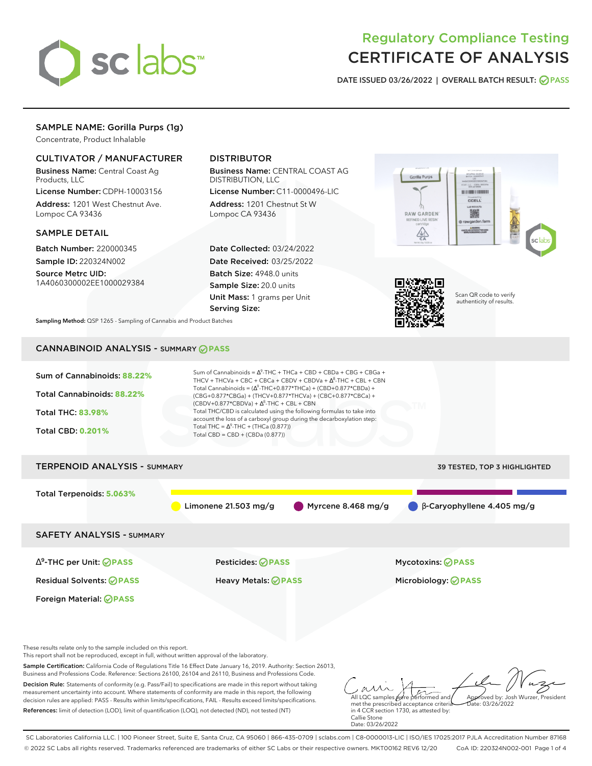

# Regulatory Compliance Testing CERTIFICATE OF ANALYSIS

**DATE ISSUED 03/26/2022 | OVERALL BATCH RESULT: PASS**

## SAMPLE NAME: Gorilla Purps (1g)

Concentrate, Product Inhalable

## CULTIVATOR / MANUFACTURER

Business Name: Central Coast Ag Products, LLC

License Number: CDPH-10003156 Address: 1201 West Chestnut Ave. Lompoc CA 93436

#### SAMPLE DETAIL

Batch Number: 220000345 Sample ID: 220324N002

Source Metrc UID: 1A4060300002EE1000029384

## DISTRIBUTOR

Business Name: CENTRAL COAST AG DISTRIBUTION, LLC

License Number: C11-0000496-LIC Address: 1201 Chestnut St W Lompoc CA 93436

Date Collected: 03/24/2022 Date Received: 03/25/2022 Batch Size: 4948.0 units Sample Size: 20.0 units Unit Mass: 1 grams per Unit Serving Size:





Scan QR code to verify authenticity of results.

**Sampling Method:** QSP 1265 - Sampling of Cannabis and Product Batches

## CANNABINOID ANALYSIS - SUMMARY **PASS**



Decision Rule: Statements of conformity (e.g. Pass/Fail) to specifications are made in this report without taking measurement uncertainty into account. Where statements of conformity are made in this report, the following decision rules are applied: PASS - Results within limits/specifications, FAIL - Results exceed limits/specifications. References: limit of detection (LOD), limit of quantification (LOQ), not detected (ND), not tested (NT)

All LQC samples were performed and met the prescribed acceptance criteria in 4 CCR section 1730, as attested by: Approved by: Josh Wurzer, President  $ate: 03/26/2022$ 

SC Laboratories California LLC. | 100 Pioneer Street, Suite E, Santa Cruz, CA 95060 | 866-435-0709 | sclabs.com | C8-0000013-LIC | ISO/IES 17025:2017 PJLA Accreditation Number 87168 © 2022 SC Labs all rights reserved. Trademarks referenced are trademarks of either SC Labs or their respective owners. MKT00162 REV6 12/20 CoA ID: 220324N002-001 Page 1 of 4

Callie Stone Date: 03/26/2022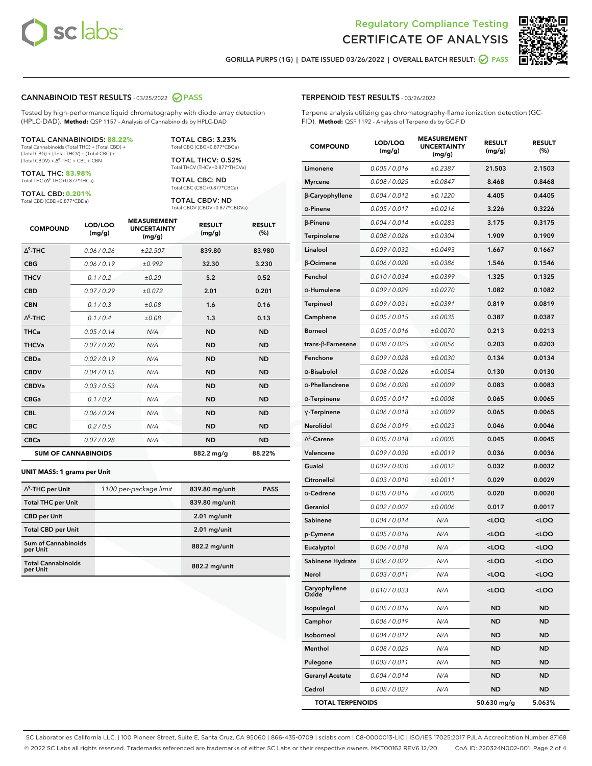



**GORILLA PURPS (1G) | DATE ISSUED 03/26/2022 | OVERALL BATCH RESULT: PASS**

#### **CANNABINOID TEST RESULTS** - 03/25/2022 **PASS**

Tested by high-performance liquid chromatography with diode-array detection (HPLC-DAD). **Method:** QSP 1157 - Analysis of Cannabinoids by HPLC-DAD

#### TOTAL CANNABINOIDS: **88.22%**

Total Cannabinoids (Total THC) + (Total CBD) + (Total CBG) + (Total THCV) + (Total CBC) +  $(Total CBDV) +  $\Delta^8$ -THC + CBL + CBN$ 

TOTAL THC: **83.98%** Total THC (∆<sup>9</sup>-THC+0.877\*THCa)

TOTAL CBD: **0.201%**

Total CBD (CBD+0.877\*CBDa)

TOTAL CBG: 3.23% Total CBG (CBG+0.877\*CBGa)

TOTAL THCV: 0.52% Total THCV (THCV+0.877\*THCVa)

TOTAL CBC: ND Total CBC (CBC+0.877\*CBCa)

TOTAL CBDV: ND Total CBDV (CBDV+0.877\*CBDVa)

| <b>COMPOUND</b> | LOD/LOQ<br>(mg/g)          | <b>MEASUREMENT</b><br><b>UNCERTAINTY</b><br>(mg/g) | <b>RESULT</b><br>(mg/g) | <b>RESULT</b><br>(%) |
|-----------------|----------------------------|----------------------------------------------------|-------------------------|----------------------|
| $\Delta^9$ -THC | 0.06/0.26                  | ±22.507                                            | 839.80                  | 83.980               |
| <b>CBG</b>      | 0.06/0.19                  | ±0.992                                             | 32.30                   | 3.230                |
| <b>THCV</b>     | 0.1/0.2                    | ±0.20                                              | 5.2                     | 0.52                 |
| <b>CBD</b>      | 0.07/0.29                  | ±0.072                                             | 2.01                    | 0.201                |
| <b>CBN</b>      | 0.1/0.3                    | ±0.08                                              | 1.6                     | 0.16                 |
| $\Delta^8$ -THC | 0.1/0.4                    | ±0.08                                              | 1.3                     | 0.13                 |
| <b>THCa</b>     | 0.05/0.14                  | N/A                                                | <b>ND</b>               | <b>ND</b>            |
| <b>THCVa</b>    | 0.07/0.20                  | N/A                                                | <b>ND</b>               | <b>ND</b>            |
| <b>CBDa</b>     | 0.02/0.19                  | N/A                                                | <b>ND</b>               | <b>ND</b>            |
| <b>CBDV</b>     | 0.04/0.15                  | N/A                                                | <b>ND</b>               | <b>ND</b>            |
| <b>CBDVa</b>    | 0.03/0.53                  | N/A                                                | <b>ND</b>               | <b>ND</b>            |
| <b>CBGa</b>     | 0.1 / 0.2                  | N/A                                                | <b>ND</b>               | <b>ND</b>            |
| <b>CBL</b>      | 0.06 / 0.24                | N/A                                                | <b>ND</b>               | <b>ND</b>            |
| <b>CBC</b>      | 0.2 / 0.5                  | N/A                                                | <b>ND</b>               | <b>ND</b>            |
| <b>CBCa</b>     | 0.07/0.28                  | N/A                                                | <b>ND</b>               | <b>ND</b>            |
|                 | <b>SUM OF CANNABINOIDS</b> |                                                    | 882.2 mg/g              | 88.22%               |

#### **UNIT MASS: 1 grams per Unit**

| $\Delta^9$ -THC per Unit               | 1100 per-package limit | 839.80 mg/unit | <b>PASS</b> |
|----------------------------------------|------------------------|----------------|-------------|
| <b>Total THC per Unit</b>              |                        | 839.80 mg/unit |             |
| <b>CBD per Unit</b>                    |                        | $2.01$ mg/unit |             |
| <b>Total CBD per Unit</b>              |                        | $2.01$ mg/unit |             |
| <b>Sum of Cannabinoids</b><br>per Unit |                        | 882.2 mg/unit  |             |
| <b>Total Cannabinoids</b><br>per Unit  |                        | 882.2 mg/unit  |             |

| <b>COMPOUND</b>          | LOD/LOQ<br>(mg/g) | <b>MEASUREMENT</b><br><b>UNCERTAINTY</b><br>(mg/g) | <b>RESULT</b><br>(mg/g)                         | <b>RESULT</b><br>(%) |
|--------------------------|-------------------|----------------------------------------------------|-------------------------------------------------|----------------------|
| Limonene                 | 0.005 / 0.016     | ±0.2387                                            | 21.503                                          | 2.1503               |
| <b>Myrcene</b>           | 0.008 / 0.025     | ±0.0847                                            | 8.468                                           | 0.8468               |
| $\beta$ -Caryophyllene   | 0.004 / 0.012     | ±0.1220                                            | 4.405                                           | 0.4405               |
| $\alpha$ -Pinene         | 0.005 / 0.017     | ±0.0216                                            | 3.226                                           | 0.3226               |
| $\beta$ -Pinene          | 0.004 / 0.014     | ±0.0283                                            | 3.175                                           | 0.3175               |
| Terpinolene              | 0.008 / 0.026     | ±0.0304                                            | 1.909                                           | 0.1909               |
| Linalool                 | 0.009 / 0.032     | ±0.0493                                            | 1.667                                           | 0.1667               |
| $\beta$ -Ocimene         | 0.006 / 0.020     | ±0.0386                                            | 1.546                                           | 0.1546               |
| Fenchol                  | 0.010 / 0.034     | ±0.0399                                            | 1.325                                           | 0.1325               |
| $\alpha$ -Humulene       | 0.009/0.029       | ±0.0270                                            | 1.082                                           | 0.1082               |
| <b>Terpineol</b>         | 0.009 / 0.031     | ±0.0391                                            | 0.819                                           | 0.0819               |
| Camphene                 | 0.005 / 0.015     | ±0.0035                                            | 0.387                                           | 0.0387               |
| <b>Borneol</b>           | 0.005 / 0.016     | ±0.0070                                            | 0.213                                           | 0.0213               |
| $trans-\beta$ -Farnesene | 0.008 / 0.025     | ±0.0056                                            | 0.203                                           | 0.0203               |
| Fenchone                 | 0.009 / 0.028     | ±0.0030                                            | 0.134                                           | 0.0134               |
| $\alpha$ -Bisabolol      | 0.008 / 0.026     | ±0.0054                                            | 0.130                                           | 0.0130               |
| $\alpha$ -Phellandrene   | 0.006 / 0.020     | ±0.0009                                            | 0.083                                           | 0.0083               |
| $\alpha$ -Terpinene      | 0.005 / 0.017     | ±0.0008                                            | 0.065                                           | 0.0065               |
| $\gamma$ -Terpinene      | 0.006 / 0.018     | ±0.0009                                            | 0.065                                           | 0.0065               |
| Nerolidol                | 0.006 / 0.019     | ±0.0023                                            | 0.046                                           | 0.0046               |
| $\Delta^3$ -Carene       | 0.005 / 0.018     | ±0.0005                                            | 0.045                                           | 0.0045               |
| Valencene                | 0.009 / 0.030     | ±0.0019                                            | 0.036                                           | 0.0036               |
| Guaiol                   | 0.009 / 0.030     | ±0.0012                                            | 0.032                                           | 0.0032               |
| Citronellol              | 0.003 / 0.010     | ±0.0011                                            | 0.029                                           | 0.0029               |
| $\alpha$ -Cedrene        | 0.005 / 0.016     | ±0.0005                                            | 0.020                                           | 0.0020               |
| Geraniol                 | 0.002 / 0.007     | ±0.0006                                            | 0.017                                           | 0.0017               |
| Sabinene                 | 0.004 / 0.014     | N/A                                                | <loq< th=""><th><loq< th=""></loq<></th></loq<> | <loq< th=""></loq<>  |
| p-Cymene                 | 0.005 / 0.016     | N/A                                                | <loq< th=""><th><loq< th=""></loq<></th></loq<> | <loq< th=""></loq<>  |
| Eucalyptol               | 0.006 / 0.018     | N/A                                                | <loq< th=""><th><loq< th=""></loq<></th></loq<> | <loq< th=""></loq<>  |
| Sabinene Hydrate         | 0.006 / 0.022     | N/A                                                | <loq< th=""><th><loq< th=""></loq<></th></loq<> | <loq< th=""></loq<>  |
| Nerol                    | 0.003 / 0.011     | N/A                                                | <loq< th=""><th><loq< th=""></loq<></th></loq<> | <loq< th=""></loq<>  |
| Caryophyllene<br>Oxide   | 0.010 / 0.033     | N/A                                                | <loq< th=""><th><loq< th=""></loq<></th></loq<> | <loq< th=""></loq<>  |
| Isopulegol               | 0.005 / 0.016     | N/A                                                | ND                                              | ND                   |
| Camphor                  | 0.006 / 0.019     | N/A                                                | ND                                              | ND                   |
| Isoborneol               | 0.004 / 0.012     | N/A                                                | ND                                              | ND                   |
| Menthol                  | 0.008 / 0.025     | N/A                                                | ND                                              | ND                   |
| Pulegone                 | 0.003 / 0.011     | N/A                                                | ND                                              | ND                   |
| <b>Geranyl Acetate</b>   | 0.004 / 0.014     | N/A                                                | ND                                              | ND                   |
| Cedrol                   | 0.008 / 0.027     | N/A                                                | ND                                              | ND                   |
| <b>TOTAL TERPENOIDS</b>  |                   |                                                    | 50.630 mg/g                                     | 5.063%               |

SC Laboratories California LLC. | 100 Pioneer Street, Suite E, Santa Cruz, CA 95060 | 866-435-0709 | sclabs.com | C8-0000013-LIC | ISO/IES 17025:2017 PJLA Accreditation Number 87168 © 2022 SC Labs all rights reserved. Trademarks referenced are trademarks of either SC Labs or their respective owners. MKT00162 REV6 12/20 CoA ID: 220324N002-001 Page 2 of 4

## **TERPENOID TEST RESULTS** - 03/26/2022

Terpene analysis utilizing gas chromatography-flame ionization detection (GC-FID). **Method:** QSP 1192 - Analysis of Terpenoids by GC-FID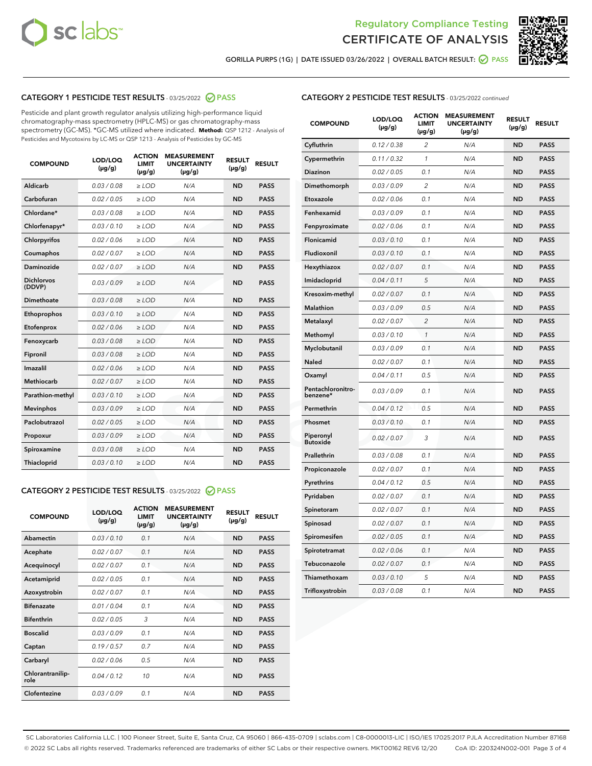



**GORILLA PURPS (1G) | DATE ISSUED 03/26/2022 | OVERALL BATCH RESULT: PASS**

## **CATEGORY 1 PESTICIDE TEST RESULTS** - 03/25/2022 **PASS**

Pesticide and plant growth regulator analysis utilizing high-performance liquid chromatography-mass spectrometry (HPLC-MS) or gas chromatography-mass spectrometry (GC-MS). \*GC-MS utilized where indicated. **Method:** QSP 1212 - Analysis of Pesticides and Mycotoxins by LC-MS or QSP 1213 - Analysis of Pesticides by GC-MS

| 0.03 / 0.08<br>Aldicarb<br>$\ge$ LOD<br>N/A<br><b>ND</b><br><b>PASS</b><br>Carbofuran<br>0.02 / 0.05<br><b>ND</b><br>$\ge$ LOD<br>N/A<br><b>PASS</b><br>Chlordane*<br>0.03 / 0.08<br>$\ge$ LOD<br>N/A<br><b>ND</b><br><b>PASS</b><br>Chlorfenapyr*<br>0.03/0.10<br>N/A<br><b>ND</b><br><b>PASS</b><br>≥ LOD<br>Chlorpyrifos<br>0.02/0.06<br>$>$ LOD<br>N/A<br><b>ND</b><br><b>PASS</b><br>0.02 / 0.07<br>N/A<br><b>ND</b><br>Coumaphos<br>$\geq$ LOD<br><b>PASS</b><br>Daminozide<br>0.02 / 0.07<br><b>ND</b><br>$\ge$ LOD<br>N/A<br><b>PASS</b><br><b>Dichlorvos</b><br>0.03/0.09<br>N/A<br><b>ND</b><br>$>$ LOD<br><b>PASS</b><br>(DDVP)<br>Dimethoate<br>0.03 / 0.08<br>N/A<br><b>ND</b><br><b>PASS</b><br>$>$ LOD<br><b>ND</b><br><b>PASS</b><br>0.03/0.10<br>$\geq$ LOD<br>N/A<br>Ethoprophos<br>0.02 / 0.06<br>N/A<br><b>ND</b><br><b>PASS</b><br>Etofenprox<br>$\geq$ LOD<br>0.03 / 0.08<br>N/A<br><b>ND</b><br><b>PASS</b><br>Fenoxycarb<br>$\geq$ LOD<br>0.03 / 0.08<br>N/A<br><b>ND</b><br><b>PASS</b><br>Fipronil<br>$\geq$ LOD<br>Imazalil<br>0.02 / 0.06<br>$>$ LOD<br>N/A<br><b>ND</b><br><b>PASS</b><br><b>Methiocarb</b><br>0.02 / 0.07<br><b>ND</b><br><b>PASS</b><br>$>$ LOD<br>N/A<br>0.03/0.10<br>N/A<br><b>ND</b><br><b>PASS</b><br>Parathion-methyl<br>$\geq$ LOD<br>0.03/0.09<br>$\ge$ LOD<br>N/A<br><b>ND</b><br><b>PASS</b><br><b>Mevinphos</b><br>Paclobutrazol<br>0.02 / 0.05<br>N/A<br><b>ND</b><br><b>PASS</b><br>$\geq$ LOD<br>0.03/0.09<br>$>$ LOD<br>N/A<br><b>ND</b><br><b>PASS</b><br>Propoxur<br>0.03 / 0.08<br>$\ge$ LOD<br>N/A<br><b>ND</b><br><b>PASS</b><br>Spiroxamine<br>0.03/0.10<br>$\ge$ LOD<br>N/A<br><b>ND</b><br><b>PASS</b><br><b>Thiacloprid</b> | <b>COMPOUND</b> | LOD/LOQ<br>$(\mu g/g)$ | <b>ACTION</b><br><b>LIMIT</b><br>$(\mu g/g)$ | <b>MEASUREMENT</b><br><b>UNCERTAINTY</b><br>$(\mu g/g)$ | <b>RESULT</b><br>$(\mu g/g)$ | <b>RESULT</b> |
|---------------------------------------------------------------------------------------------------------------------------------------------------------------------------------------------------------------------------------------------------------------------------------------------------------------------------------------------------------------------------------------------------------------------------------------------------------------------------------------------------------------------------------------------------------------------------------------------------------------------------------------------------------------------------------------------------------------------------------------------------------------------------------------------------------------------------------------------------------------------------------------------------------------------------------------------------------------------------------------------------------------------------------------------------------------------------------------------------------------------------------------------------------------------------------------------------------------------------------------------------------------------------------------------------------------------------------------------------------------------------------------------------------------------------------------------------------------------------------------------------------------------------------------------------------------------------------------------------------------------------------------------------------------------------------------------------|-----------------|------------------------|----------------------------------------------|---------------------------------------------------------|------------------------------|---------------|
|                                                                                                                                                                                                                                                                                                                                                                                                                                                                                                                                                                                                                                                                                                                                                                                                                                                                                                                                                                                                                                                                                                                                                                                                                                                                                                                                                                                                                                                                                                                                                                                                                                                                                                   |                 |                        |                                              |                                                         |                              |               |
|                                                                                                                                                                                                                                                                                                                                                                                                                                                                                                                                                                                                                                                                                                                                                                                                                                                                                                                                                                                                                                                                                                                                                                                                                                                                                                                                                                                                                                                                                                                                                                                                                                                                                                   |                 |                        |                                              |                                                         |                              |               |
|                                                                                                                                                                                                                                                                                                                                                                                                                                                                                                                                                                                                                                                                                                                                                                                                                                                                                                                                                                                                                                                                                                                                                                                                                                                                                                                                                                                                                                                                                                                                                                                                                                                                                                   |                 |                        |                                              |                                                         |                              |               |
|                                                                                                                                                                                                                                                                                                                                                                                                                                                                                                                                                                                                                                                                                                                                                                                                                                                                                                                                                                                                                                                                                                                                                                                                                                                                                                                                                                                                                                                                                                                                                                                                                                                                                                   |                 |                        |                                              |                                                         |                              |               |
|                                                                                                                                                                                                                                                                                                                                                                                                                                                                                                                                                                                                                                                                                                                                                                                                                                                                                                                                                                                                                                                                                                                                                                                                                                                                                                                                                                                                                                                                                                                                                                                                                                                                                                   |                 |                        |                                              |                                                         |                              |               |
|                                                                                                                                                                                                                                                                                                                                                                                                                                                                                                                                                                                                                                                                                                                                                                                                                                                                                                                                                                                                                                                                                                                                                                                                                                                                                                                                                                                                                                                                                                                                                                                                                                                                                                   |                 |                        |                                              |                                                         |                              |               |
|                                                                                                                                                                                                                                                                                                                                                                                                                                                                                                                                                                                                                                                                                                                                                                                                                                                                                                                                                                                                                                                                                                                                                                                                                                                                                                                                                                                                                                                                                                                                                                                                                                                                                                   |                 |                        |                                              |                                                         |                              |               |
|                                                                                                                                                                                                                                                                                                                                                                                                                                                                                                                                                                                                                                                                                                                                                                                                                                                                                                                                                                                                                                                                                                                                                                                                                                                                                                                                                                                                                                                                                                                                                                                                                                                                                                   |                 |                        |                                              |                                                         |                              |               |
|                                                                                                                                                                                                                                                                                                                                                                                                                                                                                                                                                                                                                                                                                                                                                                                                                                                                                                                                                                                                                                                                                                                                                                                                                                                                                                                                                                                                                                                                                                                                                                                                                                                                                                   |                 |                        |                                              |                                                         |                              |               |
|                                                                                                                                                                                                                                                                                                                                                                                                                                                                                                                                                                                                                                                                                                                                                                                                                                                                                                                                                                                                                                                                                                                                                                                                                                                                                                                                                                                                                                                                                                                                                                                                                                                                                                   |                 |                        |                                              |                                                         |                              |               |
|                                                                                                                                                                                                                                                                                                                                                                                                                                                                                                                                                                                                                                                                                                                                                                                                                                                                                                                                                                                                                                                                                                                                                                                                                                                                                                                                                                                                                                                                                                                                                                                                                                                                                                   |                 |                        |                                              |                                                         |                              |               |
|                                                                                                                                                                                                                                                                                                                                                                                                                                                                                                                                                                                                                                                                                                                                                                                                                                                                                                                                                                                                                                                                                                                                                                                                                                                                                                                                                                                                                                                                                                                                                                                                                                                                                                   |                 |                        |                                              |                                                         |                              |               |
|                                                                                                                                                                                                                                                                                                                                                                                                                                                                                                                                                                                                                                                                                                                                                                                                                                                                                                                                                                                                                                                                                                                                                                                                                                                                                                                                                                                                                                                                                                                                                                                                                                                                                                   |                 |                        |                                              |                                                         |                              |               |
|                                                                                                                                                                                                                                                                                                                                                                                                                                                                                                                                                                                                                                                                                                                                                                                                                                                                                                                                                                                                                                                                                                                                                                                                                                                                                                                                                                                                                                                                                                                                                                                                                                                                                                   |                 |                        |                                              |                                                         |                              |               |
|                                                                                                                                                                                                                                                                                                                                                                                                                                                                                                                                                                                                                                                                                                                                                                                                                                                                                                                                                                                                                                                                                                                                                                                                                                                                                                                                                                                                                                                                                                                                                                                                                                                                                                   |                 |                        |                                              |                                                         |                              |               |
|                                                                                                                                                                                                                                                                                                                                                                                                                                                                                                                                                                                                                                                                                                                                                                                                                                                                                                                                                                                                                                                                                                                                                                                                                                                                                                                                                                                                                                                                                                                                                                                                                                                                                                   |                 |                        |                                              |                                                         |                              |               |
|                                                                                                                                                                                                                                                                                                                                                                                                                                                                                                                                                                                                                                                                                                                                                                                                                                                                                                                                                                                                                                                                                                                                                                                                                                                                                                                                                                                                                                                                                                                                                                                                                                                                                                   |                 |                        |                                              |                                                         |                              |               |
|                                                                                                                                                                                                                                                                                                                                                                                                                                                                                                                                                                                                                                                                                                                                                                                                                                                                                                                                                                                                                                                                                                                                                                                                                                                                                                                                                                                                                                                                                                                                                                                                                                                                                                   |                 |                        |                                              |                                                         |                              |               |
|                                                                                                                                                                                                                                                                                                                                                                                                                                                                                                                                                                                                                                                                                                                                                                                                                                                                                                                                                                                                                                                                                                                                                                                                                                                                                                                                                                                                                                                                                                                                                                                                                                                                                                   |                 |                        |                                              |                                                         |                              |               |
|                                                                                                                                                                                                                                                                                                                                                                                                                                                                                                                                                                                                                                                                                                                                                                                                                                                                                                                                                                                                                                                                                                                                                                                                                                                                                                                                                                                                                                                                                                                                                                                                                                                                                                   |                 |                        |                                              |                                                         |                              |               |
|                                                                                                                                                                                                                                                                                                                                                                                                                                                                                                                                                                                                                                                                                                                                                                                                                                                                                                                                                                                                                                                                                                                                                                                                                                                                                                                                                                                                                                                                                                                                                                                                                                                                                                   |                 |                        |                                              |                                                         |                              |               |

## **CATEGORY 2 PESTICIDE TEST RESULTS** - 03/25/2022 **PASS**

| <b>COMPOUND</b>          | LOD/LOQ<br>$(\mu g/g)$ | <b>ACTION</b><br><b>LIMIT</b><br>$(\mu g/g)$ | <b>MEASUREMENT</b><br><b>UNCERTAINTY</b><br>$(\mu g/g)$ | <b>RESULT</b><br>$(\mu g/g)$ | <b>RESULT</b> |  |
|--------------------------|------------------------|----------------------------------------------|---------------------------------------------------------|------------------------------|---------------|--|
| Abamectin                | 0.03/0.10              | 0.1                                          | N/A                                                     | <b>ND</b>                    | <b>PASS</b>   |  |
| Acephate                 | 0.02/0.07              | 0.1                                          | N/A                                                     | <b>ND</b>                    | <b>PASS</b>   |  |
| Acequinocyl              | 0.02/0.07              | 0.1                                          | N/A                                                     | <b>ND</b>                    | <b>PASS</b>   |  |
| Acetamiprid              | 0.02/0.05              | 0.1                                          | N/A                                                     | <b>ND</b>                    | <b>PASS</b>   |  |
| Azoxystrobin             | 0.02/0.07              | 0.1                                          | N/A                                                     | <b>ND</b>                    | <b>PASS</b>   |  |
| <b>Bifenazate</b>        | 0.01/0.04              | 0.1                                          | N/A                                                     | <b>ND</b>                    | <b>PASS</b>   |  |
| <b>Bifenthrin</b>        | 0.02 / 0.05            | 3                                            | N/A                                                     | <b>ND</b>                    | <b>PASS</b>   |  |
| <b>Boscalid</b>          | 0.03/0.09              | 0.1                                          | N/A                                                     | <b>ND</b>                    | <b>PASS</b>   |  |
| Captan                   | 0.19/0.57              | 0.7                                          | N/A                                                     | <b>ND</b>                    | <b>PASS</b>   |  |
| Carbaryl                 | 0.02/0.06              | 0.5                                          | N/A                                                     | <b>ND</b>                    | <b>PASS</b>   |  |
| Chlorantranilip-<br>role | 0.04/0.12              | 10                                           | N/A                                                     | <b>ND</b>                    | <b>PASS</b>   |  |
| Clofentezine             | 0.03/0.09              | 0.1                                          | N/A                                                     | <b>ND</b>                    | <b>PASS</b>   |  |

| <b>COMPOUND</b>               | LOD/LOQ<br>(µg/g) | <b>ACTION</b><br><b>LIMIT</b><br>(µg/g) | <b>MEASUREMENT</b><br><b>UNCERTAINTY</b><br>$(\mu g/g)$ | <b>RESULT</b><br>(µg/g) | <b>RESULT</b> |
|-------------------------------|-------------------|-----------------------------------------|---------------------------------------------------------|-------------------------|---------------|
| Cyfluthrin                    | 0.12 / 0.38       | $\overline{c}$                          | N/A                                                     | <b>ND</b>               | <b>PASS</b>   |
| Cypermethrin                  | 0.11 / 0.32       | 1                                       | N/A                                                     | <b>ND</b>               | <b>PASS</b>   |
| <b>Diazinon</b>               | 0.02 / 0.05       | 0.1                                     | N/A                                                     | <b>ND</b>               | <b>PASS</b>   |
| Dimethomorph                  | 0.03 / 0.09       | 2                                       | N/A                                                     | <b>ND</b>               | <b>PASS</b>   |
| Etoxazole                     | 0.02 / 0.06       | 0.1                                     | N/A                                                     | <b>ND</b>               | <b>PASS</b>   |
| Fenhexamid                    | 0.03 / 0.09       | 0.1                                     | N/A                                                     | <b>ND</b>               | <b>PASS</b>   |
| Fenpyroximate                 | 0.02 / 0.06       | 0.1                                     | N/A                                                     | <b>ND</b>               | <b>PASS</b>   |
| Flonicamid                    | 0.03 / 0.10       | 0.1                                     | N/A                                                     | <b>ND</b>               | <b>PASS</b>   |
| Fludioxonil                   | 0.03 / 0.10       | 0.1                                     | N/A                                                     | <b>ND</b>               | <b>PASS</b>   |
| Hexythiazox                   | 0.02 / 0.07       | 0.1                                     | N/A                                                     | <b>ND</b>               | <b>PASS</b>   |
| Imidacloprid                  | 0.04 / 0.11       | 5                                       | N/A                                                     | <b>ND</b>               | <b>PASS</b>   |
| Kresoxim-methyl               | 0.02 / 0.07       | 0.1                                     | N/A                                                     | <b>ND</b>               | <b>PASS</b>   |
| Malathion                     | 0.03 / 0.09       | 0.5                                     | N/A                                                     | <b>ND</b>               | <b>PASS</b>   |
| Metalaxyl                     | 0.02 / 0.07       | $\overline{c}$                          | N/A                                                     | <b>ND</b>               | <b>PASS</b>   |
| Methomyl                      | 0.03 / 0.10       | 1                                       | N/A                                                     | <b>ND</b>               | <b>PASS</b>   |
| Myclobutanil                  | 0.03 / 0.09       | 0.1                                     | N/A                                                     | <b>ND</b>               | <b>PASS</b>   |
| Naled                         | 0.02 / 0.07       | 0.1                                     | N/A                                                     | <b>ND</b>               | <b>PASS</b>   |
| Oxamyl                        | 0.04 / 0.11       | 0.5                                     | N/A                                                     | <b>ND</b>               | <b>PASS</b>   |
| Pentachloronitro-<br>benzene* | 0.03 / 0.09       | 0.1                                     | N/A                                                     | <b>ND</b>               | <b>PASS</b>   |
| Permethrin                    | 0.04 / 0.12       | 0.5                                     | N/A                                                     | <b>ND</b>               | <b>PASS</b>   |
| Phosmet                       | 0.03 / 0.10       | 0.1                                     | N/A                                                     | <b>ND</b>               | <b>PASS</b>   |
| Piperonyl<br><b>Butoxide</b>  | 0.02 / 0.07       | 3                                       | N/A                                                     | <b>ND</b>               | <b>PASS</b>   |
| Prallethrin                   | 0.03 / 0.08       | 0.1                                     | N/A                                                     | <b>ND</b>               | <b>PASS</b>   |
| Propiconazole                 | 0.02 / 0.07       | 0.1                                     | N/A                                                     | <b>ND</b>               | <b>PASS</b>   |
| Pyrethrins                    | 0.04 / 0.12       | 0.5                                     | N/A                                                     | <b>ND</b>               | <b>PASS</b>   |
| Pyridaben                     | 0.02 / 0.07       | 0.1                                     | N/A                                                     | <b>ND</b>               | <b>PASS</b>   |
| Spinetoram                    | 0.02 / 0.07       | 0.1                                     | N/A                                                     | <b>ND</b>               | <b>PASS</b>   |
| Spinosad                      | 0.02 / 0.07       | 0.1                                     | N/A                                                     | <b>ND</b>               | <b>PASS</b>   |
| Spiromesifen                  | 0.02 / 0.05       | 0.1                                     | N/A                                                     | <b>ND</b>               | <b>PASS</b>   |
| Spirotetramat                 | 0.02 / 0.06       | 0.1                                     | N/A                                                     | <b>ND</b>               | <b>PASS</b>   |
| Tebuconazole                  | 0.02 / 0.07       | 0.1                                     | N/A                                                     | <b>ND</b>               | <b>PASS</b>   |
| Thiamethoxam                  | 0.03 / 0.10       | 5                                       | N/A                                                     | <b>ND</b>               | <b>PASS</b>   |
| Trifloxystrobin               | 0.03 / 0.08       | 0.1                                     | N/A                                                     | <b>ND</b>               | <b>PASS</b>   |

SC Laboratories California LLC. | 100 Pioneer Street, Suite E, Santa Cruz, CA 95060 | 866-435-0709 | sclabs.com | C8-0000013-LIC | ISO/IES 17025:2017 PJLA Accreditation Number 87168 © 2022 SC Labs all rights reserved. Trademarks referenced are trademarks of either SC Labs or their respective owners. MKT00162 REV6 12/20 CoA ID: 220324N002-001 Page 3 of 4